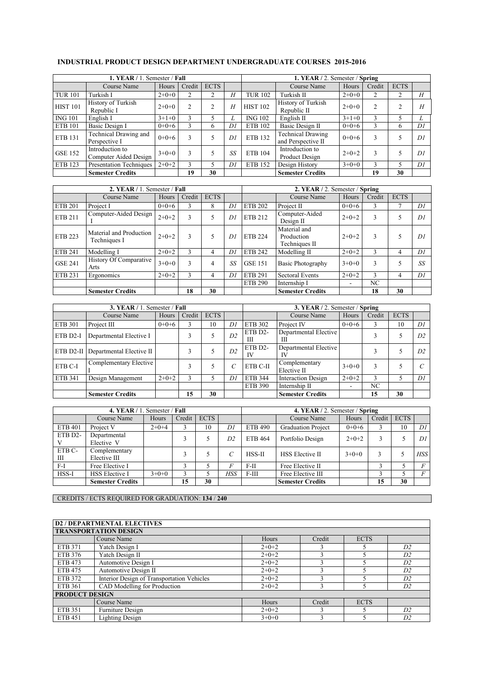|                 | 1. YEAR / 1. Semester / Fall             |         |        |             |    | 1. YEAR / 2. Semester / Spring                |                                                |              |    |    |    |
|-----------------|------------------------------------------|---------|--------|-------------|----|-----------------------------------------------|------------------------------------------------|--------------|----|----|----|
|                 | Course Name                              | Hours   | Credit | <b>ECTS</b> |    | <b>ECTS</b><br>Course Name<br>Credit<br>Hours |                                                |              |    |    |    |
| <b>TUR 101</b>  | Turkish I                                | $2+0+0$ | ↑      |             | H  | <b>TUR 102</b>                                | Turkish II                                     | $2+0+0$      | 2  |    | H  |
| <b>HIST 101</b> | History of Turkish<br>Republic I         | $2+0+0$ | 2      | 2           | H  | <b>HIST 102</b>                               | History of Turkish<br>Republic II              | $2+0+0$      | 2  | 2  | H  |
| <b>ING 101</b>  | English I                                | $3+1+0$ | 3      |             |    | <b>ING 102</b>                                | English $\Pi$                                  | $3+1+0$      | 3  |    |    |
| <b>ETB 101</b>  | Basic Design I                           | $0+0+6$ | 3      | 6           | DI | ETB 102                                       | Basic Design II                                | $0+0+6$      | 3  | 6  | DI |
| <b>ETB 131</b>  | Technical Drawing and<br>Perspective I   | $0+0+6$ | ٩      |             | D1 | ETB 132                                       | <b>Technical Drawing</b><br>and Perspective II | $0+0+6$      | 3  |    | DI |
| <b>GSE 152</b>  | Introduction to<br>Computer Aided Design | $3+0+0$ | ς      |             | SS | ETB 104                                       | Introduction to<br>Product Design              | 3<br>$2+0+2$ |    |    | DI |
| ETB 123         | <b>Presentation Techniques</b>           | $2+0+2$ | 3      | 5           | DI | <b>ETB 152</b>                                | Design History                                 | $3+0+0$      | 3  |    | DI |
|                 | <b>Semester Credits</b>                  |         | 19     | 30          |    |                                               | <b>Semester Credits</b>                        |              | 19 | 30 |    |

## **INDUSTRIAL PRODUCT DESIGN DEPARTMENT UNDERGRADUATE COURSES 2015-2016**

|                | 2. YEAR / 1. Semester / Fall            |         |        |             |                | 2. YEAR / 2. Semester / Spring |                                             |         |        |             |    |  |
|----------------|-----------------------------------------|---------|--------|-------------|----------------|--------------------------------|---------------------------------------------|---------|--------|-------------|----|--|
|                | Course Name                             | Hours   | Credit | <b>ECTS</b> |                |                                | Course Name                                 | Hours   | Credit | <b>ECTS</b> |    |  |
| <b>ETB 201</b> | Project I                               | $0+0+6$ |        | 8           | Di             | <b>ETB 202</b>                 | Project II                                  | $0+0+6$ | 3      |             | DI |  |
| <b>ETB 211</b> | Computer-Aided Design                   | $2+0+2$ | 3      | 5           | Di             | <b>ETB 212</b>                 | Computer-Aided<br>Design II                 | $2+0+2$ | 3      |             | DI |  |
| <b>ETB 223</b> | Material and Production<br>Techniques I | $2+0+2$ | 3      | 5           | Di             | <b>ETB 224</b>                 | Material and<br>Production<br>Techniques II | $2+0+2$ | 3      |             | DI |  |
| <b>ETB 241</b> | Modelling I                             | $2+0+2$ | 3      | 4           | D <sub>l</sub> | <b>ETB 242</b>                 | Modelling II                                | $2+0+2$ | 3      | 4           | DI |  |
| <b>GSE 241</b> | History Of Comparative<br>Arts          | $3+0+0$ | 3      | 4           | SS             | <b>GSE 151</b>                 | Basic Photography                           | $3+0+0$ | 3      |             | SS |  |
| ETB 231        | Ergonomics                              | $2+0+2$ | 3      | 4           | Di             | <b>ETB 291</b>                 | Sectoral Events                             | $2+0+2$ | 3      | 4           | DI |  |
|                |                                         |         |        |             |                | <b>ETB 290</b>                 | Internship I                                |         | NC     |             |    |  |
|                | <b>Semester Credits</b>                 |         | 18     | 30          |                |                                | <b>Semester Credits</b>                     |         | 18     | 30          |    |  |

|                | 3. YEAR / 1. Semester / Fall              |         |        |             |                | 3. YEAR / 2. Semester / Spring              |                              |         |        |             |    |
|----------------|-------------------------------------------|---------|--------|-------------|----------------|---------------------------------------------|------------------------------|---------|--------|-------------|----|
|                | Course Name                               | Hours   | Credit | <b>ECTS</b> |                |                                             | Course Name                  | Hours   | Credit | <b>ECTS</b> |    |
| <b>ETB 301</b> | Project III                               | $0+0+6$ |        | 10          | DI             | ETB 302                                     | Project IV                   | $0+0+6$ |        | 10          | DI |
| ETB D2-I       | Departmental Elective I                   |         |        |             | D <sub>2</sub> | ETB D2-<br>Ш                                | Departmental Elective<br>Ш   |         | ٩      |             | D2 |
|                | <b>ETB D2-II</b> Departmental Elective II |         |        |             | D2             | ETB D2-<br>IV                               | Departmental Elective<br>IV  |         | ς      |             | D2 |
| ETB C-I        | Complementary Elective                    |         |        |             |                | ETB C-II                                    | Complementary<br>Elective II | $3+0+0$ | 3      |             | C  |
| ETB 341        | Design Management                         | $2+0+2$ |        |             | DΙ             | <b>ETB 344</b><br><b>Interaction Design</b> |                              | $2+0+2$ | ٩      |             | D1 |
|                |                                           |         |        |             |                | <b>ETB 390</b>                              | Internship II                | ۰       | NC     |             |    |
|                | <b>Semester Credits</b>                   |         | 15     | 30          |                |                                             | <b>Semester Credits</b>      |         | 15     | 30          |    |

| 4. YEAR / 1. Semester / Fall |                               |         |        |             |                | 4. YEAR / 2. Semester / Spring |                           |         |        |             |     |
|------------------------------|-------------------------------|---------|--------|-------------|----------------|--------------------------------|---------------------------|---------|--------|-------------|-----|
|                              | Course Name                   | Hours   | Credit | <b>ECTS</b> |                |                                | Course Name               | Hours   | Credit | <b>ECTS</b> |     |
| <b>ETB 401</b>               | Project V                     | $2+0+4$ |        | 10          | DI             | <b>ETB 490</b>                 | <b>Graduation Project</b> | $0+0+6$ |        | 10          | DI  |
| ETB D2-                      | Departmental<br>Elective V    |         |        |             | D <sub>2</sub> | <b>ETB 464</b>                 | Portfolio Design          | $2+0+2$ |        |             | DI  |
| ETB C-<br>Ш                  | Complementary<br>Elective III |         |        |             |                | $HSS-II$                       | HSS Elective II           | $3+0+0$ |        |             | HSS |
| $F-I$                        | Free Elective I               |         |        |             |                | Free Elective II<br>$F-II$     |                           |         |        |             |     |
| HSS-I                        | <b>HSS</b> Elective I         | $3+0+0$ |        |             | HSS            | Free Elective III<br>$F-III$   |                           |         |        |             |     |
|                              | <b>Semester Credits</b>       |         | 15     | 30          |                |                                | <b>Semester Credits</b>   |         | 15     | 30          |     |

CREDITS / ECTS REQUIRED FOR GRADUATION: **134** / **240**

# **D2 / DEPARTMENTAL ELECTIVES**

|                       | <i>DAT</i> DEI ANTIJENTAL ELECTIVES        |         |        |             |                |
|-----------------------|--------------------------------------------|---------|--------|-------------|----------------|
|                       | <b>TRANSPORTATION DESIGN</b>               |         |        |             |                |
|                       | Course Name                                | Hours   | Credit | <b>ECTS</b> |                |
| ETB 371               | Yatch Design I                             | $2+0+2$ |        |             | D2             |
| ETB 376               | Yatch Design II                            | $2+0+2$ |        |             | D2             |
| ETB 473               | Automotive Design I                        | $2+0+2$ |        |             | D2             |
| ETB 475               | Automotive Design II                       | $2+0+2$ |        |             | D2             |
| ETB 372               | Interior Design of Transportation Vehicles | $2+0+2$ |        |             | D2             |
| ETB 361               | CAD Modelling for Production               | $2+0+2$ |        |             | D2             |
| <b>PRODUCT DESIGN</b> |                                            |         |        |             |                |
|                       | Course Name                                | Hours   | Credit | <b>ECTS</b> |                |
| ETB 351               | Furniture Design                           | $2+0+2$ |        |             | D2             |
| ETB 451               | <b>Lighting Design</b>                     | $3+0+0$ |        |             | D <sub>2</sub> |

٦